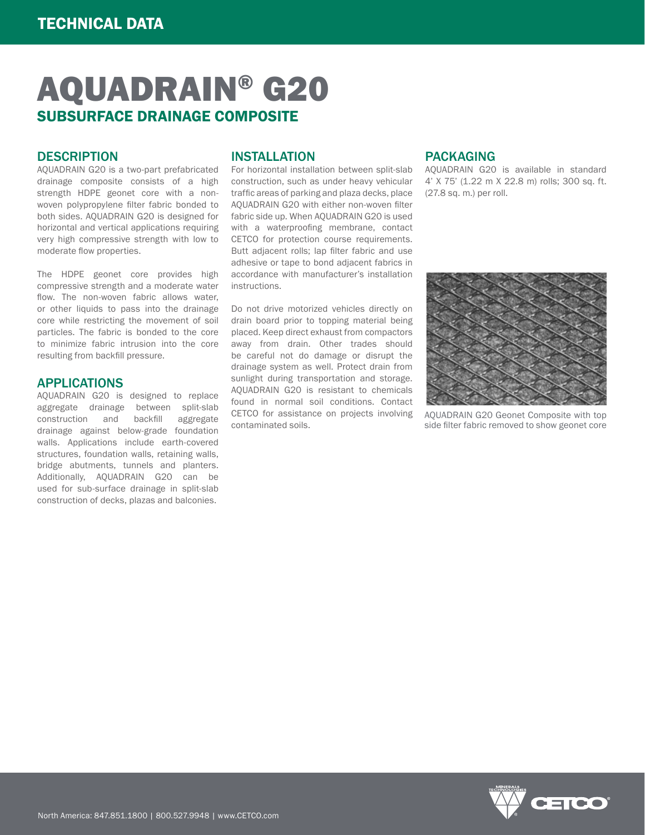# AQUADRAIN® G20 SUBSURFACE DRAINAGE COMPOSITE

#### **DESCRIPTION**

AQUADRAIN G20 is a two-part prefabricated drainage composite consists of a high strength HDPE geonet core with a nonwoven polypropylene filter fabric bonded to both sides. AQUADRAIN G20 is designed for horizontal and vertical applications requiring very high compressive strength with low to moderate flow properties.

The HDPE geonet core provides high compressive strength and a moderate water flow. The non-woven fabric allows water, or other liquids to pass into the drainage core while restricting the movement of soil particles. The fabric is bonded to the core to minimize fabric intrusion into the core resulting from backfill pressure.

#### APPLICATIONS

AQUADRAIN G20 is designed to replace aggregate drainage between split-slab construction and backfill aggregate drainage against below-grade foundation walls. Applications include earth-covered structures, foundation walls, retaining walls, bridge abutments, tunnels and planters. Additionally, AQUADRAIN G20 can be used for sub-surface drainage in split-slab construction of decks, plazas and balconies.

## INSTALLATION

For horizontal installation between split-slab construction, such as under heavy vehicular traffic areas of parking and plaza decks, place AQUADRAIN G20 with either non-woven filter fabric side up. When AQUADRAIN G20 is used with a waterproofing membrane, contact CETCO for protection course requirements. Butt adjacent rolls; lap filter fabric and use adhesive or tape to bond adjacent fabrics in accordance with manufacturer's installation instructions.

Do not drive motorized vehicles directly on drain board prior to topping material being placed. Keep direct exhaust from compactors away from drain. Other trades should be careful not do damage or disrupt the drainage system as well. Protect drain from sunlight during transportation and storage. AQUADRAIN G20 is resistant to chemicals found in normal soil conditions. Contact CETCO for assistance on projects involving contaminated soils.

## PACKAGING

AQUADRAIN G20 is available in standard 4' X 75' (1.22 m X 22.8 m) rolls; 300 sq. ft. (27.8 sq. m.) per roll.



AQUADRAIN G20 Geonet Composite with top side filter fabric removed to show geonet core